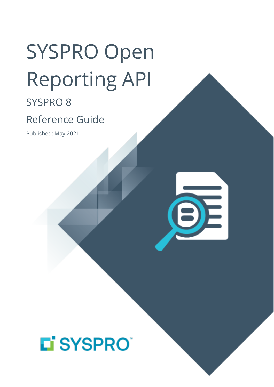# SYSPRO Open Reporting API

### SYSPRO 8

## Reference Guide

Published: May 2021



## LI SYSPROT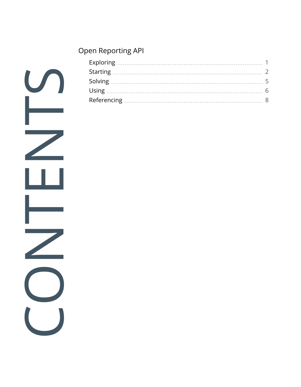#### Open [Reporting](#page-2-0) API

|  | $\overline{1}$ |
|--|----------------|
|  |                |
|  |                |
|  |                |
|  |                |
|  |                |
|  |                |
|  |                |
|  |                |
|  |                |
|  |                |
|  |                |
|  |                |
|  |                |
|  |                |
|  |                |
|  |                |
|  |                |
|  |                |
|  |                |
|  |                |
|  |                |
|  |                |
|  |                |
|  |                |
|  |                |
|  |                |
|  |                |
|  |                |
|  |                |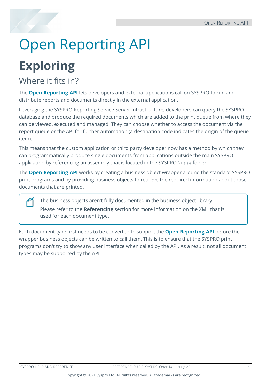## <span id="page-2-1"></span><span id="page-2-0"></span>Open Reporting API

## **Exploring**

### Where it fits in?

The **Open Reporting API** lets developers and external applications call on SYSPRO to run and distribute reports and documents directly in the external application.

Leveraging the SYSPRO Reporting Service Server infrastructure, developers can query the SYSPRO database and produce the required documents which are added to the print queue from where they can be viewed, executed and managed. They can choose whether to access the document via the report queue or the API for further automation (a destination code indicates the origin of the queue item).

This means that the custom application or third party developer now has a method by which they can programmatically produce single documents from applications outside the main SYSPRO application by referencing an assembly that is located in the SYSPRO \Base folder.

The **Open Reporting API** works by creating a business object wrapper around the standard SYSPRO print programs and by providing business objects to retrieve the required information about those documents that are printed.

The business objects aren't fully documented in the business object library.

Please refer to the **Referencing** section for more information on the XML that is used for each document type.

Each document type first needs to be converted to support the **Open Reporting API** before the wrapper business objects can be written to call them. This is to ensure that the SYSPRO print programs don't try to show any user interface when called by the API. As a result, not all document types may be supported by the API.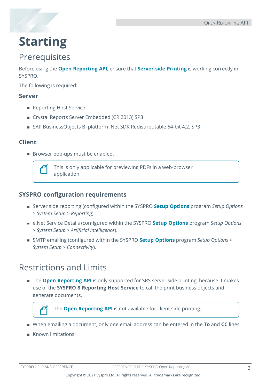

## <span id="page-3-0"></span>**Starting**

### **Prerequisites**

Before using the **Open Reporting API**, ensure that **Server-side Printing** is working correctly in SYSPRO.

The following is required:

#### **Server**

- Reporting Host Service
- Crystal Reports Server Embedded (CR 2013) SP8
- SAP BusinessObjects BI platform .Net SDK Redistributable 64-bit 4.2. SP3

#### **Client**

Browser pop-ups must be enabled.



This is only applicable for previewing PDFs in a web-browser application.

#### **SYSPRO configuration requirements**

- Server side reporting (configured within the SYSPRO **Setup Options** program *Setup Options > System Setup > Reporting*).
- e.Net Service Details (configured within the SYSPRO **Setup Options** program *Setup Options > System Setup > Artificial Intelligence*).
- SMTP emailing (configured within the SYSPRO **Setup Options** program *Setup Options > System Setup > Connectivity*).

### Restrictions and Limits

The **Open Reporting API** is only supported for SRS server side printing, because it makes use of the **SYSPRO 8 Reporting Host Service** to call the print business objects and generate documents.

The **Open Reporting API** is not available for client side printing.

- When emailing a document, only one email address can be entered in the **To** and **CC** lines.
- Known limitations: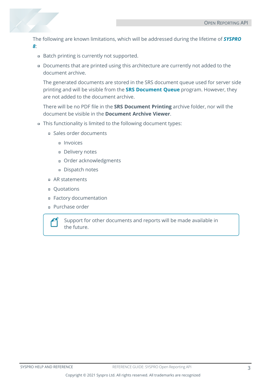The following are known limitations, which will be addressed during the lifetime of *SYSPRO 8*:

- Batch printing is currently not supported.
- Documents that are printed using this architecture are currently not added to the document archive.

The generated documents are stored in the SRS document queue used for server side printing and will be visible from the **SRS Document Queue** program. However, they are not added to the document archive.

There will be no PDF file in the **SRS Document Printing** archive folder, nor will the document be visible in the **Document Archive Viewer**.

- This functionality is limited to the following document types:
	- Sales order documents
		- Invoices
		- Delivery notes
		- Order acknowledgments
		- Dispatch notes
	- AR statements
	- Quotations
	- Factory documentation
	- Purchase order



Support for other documents and reports will be made available in the future.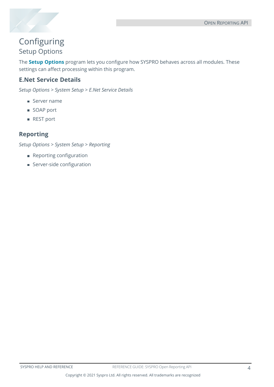

### Configuring Setup Options

The **Setup Options** program lets you configure how SYSPRO behaves across all modules. These settings can affect processing within this program.

#### **E.Net Service Details**

*Setup Options > System Setup > E.Net Service Details*

- Server name
- SOAP port
- REST port

#### **Reporting**

*Setup Options > System Setup > Reporting*

- **Reporting configuration**
- **Server-side configuration**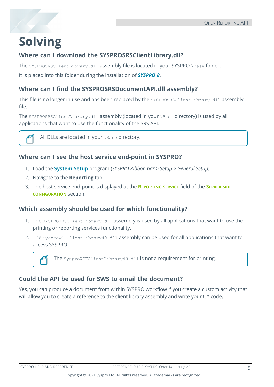## <span id="page-6-0"></span>**Solving**

#### **Where can I download the SYSPROSRSClientLibrary.dll?**

The SYSPROSRSClientLibrary.dll assembly file is located in your SYSPRO \Base folder.

It is placed into this folder during the installation of *SYSPRO 8*.

#### **Where can I find the SYSPROSRSDocumentAPI.dll assembly?**

This file is no longer in use and has been replaced by the SYSPROSRSClientLibrary.dll assembly file.

The SYSPROSRSClientLibrary.dll assembly (located in your \Base directory) is used by all applications that want to use the functionality of the SRS API.



All DLLs are located in your \Base directory.

#### **Where can I see the host service end-point in SYSPRO?**

- 1. Load the **System Setup** program (*SYSPRO Ribbon bar > Setup > General Setup*).
- 2. Navigate to the **Reporting** tab.
- 3. The host service end-point is displayed at the **REPORTING SERVICE** field of the **SERVER-SIDE CONFIGURATION** section.

#### **Which assembly should be used for which functionality?**

- 1. The SYSPROSRSClientLibrary.dll assembly is used by all applications that want to use the printing or reporting services functionality.
- 2. The SysproWCFClientLibrary40.dll assembly can be used for all applications that want to access SYSPRO.

The sysproWCFClientLibrary40.dll is not a requirement for printing.

#### **Could the API be used for SWS to email the document?**

Yes, you can produce a document from within SYSPRO workflow if you create a custom activity that will allow you to create a reference to the client library assembly and write your C# code.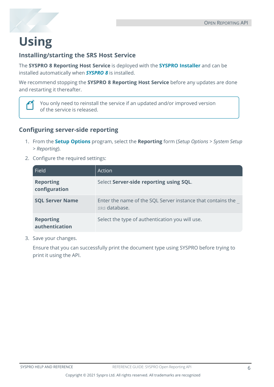## <span id="page-7-0"></span>**Using**

#### **Installing/starting the SRS Host Service**

The **SYSPRO 8 Reporting Host Service** is deployed with the **SYSPRO Installer** and can be installed automatically when *SYSPRO 8* is installed.

We recommend stopping the **SYSPRO 8 Reporting Host Service** before any updates are done and restarting it thereafter.



You only need to reinstall the service if an updated and/or improved version of the service is released.

#### **Configuring server-side reporting**

- 1. From the **Setup Options** program, select the **Reporting** form (*Setup Options > System Setup > Reporting*).
- 2. Configure the required settings:

| <b>Field</b>                       | Action                                                                       |
|------------------------------------|------------------------------------------------------------------------------|
| <b>Reporting</b><br>configuration  | Select Server-side reporting using SQL.                                      |
| <b>SQL Server Name</b>             | Enter the name of the SQL Server instance that contains the<br>SRS database. |
| <b>Reporting</b><br>authentication | Select the type of authentication you will use.                              |

3. Save your changes.

Ensure that you can successfully print the document type using SYSPRO before trying to print it using the API.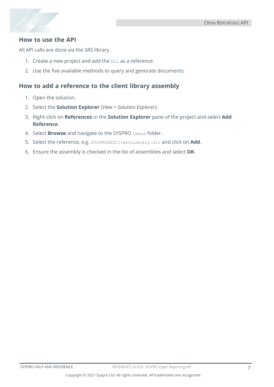#### **How to use the API**

All API calls are done via the SRS library.

- 1. Create a new project and add the DLL as a reference.
- 2. Use the five available methods to query and generate documents.

#### **How to add a reference to the client library assembly**

- 1. Open the solution.
- 2. Select the **Solution Explorer** (*View > Solution Explorer*).
- 3. Right-click on **References** in the **Solution Explorer** pane of the project and select **Add Reference**.
- 4. Select **Browse** and navigate to the SYSPRO \Base folder.
- 5. Select the reference, e.g. SYSPROSRSClientLibrary.dll and click on **Add**.
- 6. Ensure the assembly is checked in the list of assemblies and select **OK**.

Copyright © 2021 Syspro Ltd. All rights reserved. All trademarks are recognized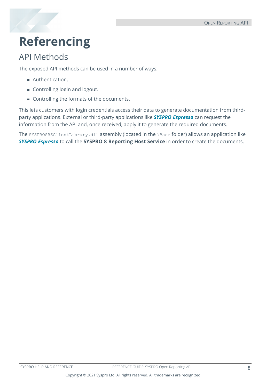## <span id="page-9-0"></span>**Referencing**

### API Methods

The exposed API methods can be used in a number of ways:

- **Authentication.**
- Controlling login and logout.
- Controlling the formats of the documents.

This lets customers with login credentials access their data to generate documentation from thirdparty applications. External or third-party applications like *SYSPRO Espresso* can request the information from the API and, once received, apply it to generate the required documents.

The SYSPROSRSClientLibrary.dll assembly (located in the \Base folder) allows an application like *SYSPRO Espresso* to call the **SYSPRO 8 Reporting Host Service** in order to create the documents.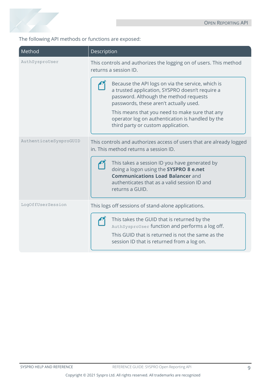

The following API methods or functions are exposed:

| Method                 | Description                                                                                                                                                                                           |
|------------------------|-------------------------------------------------------------------------------------------------------------------------------------------------------------------------------------------------------|
| AuthSysproUser         | This controls and authorizes the logging on of users. This method<br>returns a session ID.                                                                                                            |
|                        | Because the API logs on via the service, which is<br>a trusted application, SYSPRO doesn't require a<br>password. Although the method requests<br>passwords, these aren't actually used.              |
|                        | This means that you need to make sure that any<br>operator log on authentication is handled by the<br>third party or custom application.                                                              |
| AuthenticateSysproGUID | This controls and authorizes access of users that are already logged<br>in. This method returns a session ID.                                                                                         |
|                        | This takes a session ID you have generated by<br>doing a logon using the SYSPRO 8 e.net<br><b>Communications Load Balancer and</b><br>authenticates that as a valid session ID and<br>returns a GUID. |
| LogOffUserSession      | This logs off sessions of stand-alone applications.                                                                                                                                                   |
|                        | This takes the GUID that is returned by the<br>AuthSysproUser function and performs a log off.<br>This GUID that is returned is not the same as the<br>session ID that is returned from a log on.     |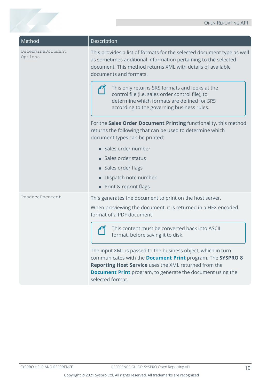| Method                       | Description                                                                                                                                                                                                                                               |
|------------------------------|-----------------------------------------------------------------------------------------------------------------------------------------------------------------------------------------------------------------------------------------------------------|
| DetermineDocument<br>Options | This provides a list of formats for the selected document type as well<br>as sometimes additional information pertaining to the selected<br>document. This method returns XML with details of available<br>documents and formats.                         |
|                              | This only returns SRS formats and looks at the<br>control file (i.e. sales order control file), to<br>determine which formats are defined for SRS<br>according to the governing business rules.                                                           |
|                              | For the Sales Order Document Printing functionality, this method<br>returns the following that can be used to determine which<br>document types can be printed:                                                                                           |
|                              | Sales order number                                                                                                                                                                                                                                        |
|                              | Sales order status                                                                                                                                                                                                                                        |
|                              | Sales order flags                                                                                                                                                                                                                                         |
|                              | Dispatch note number                                                                                                                                                                                                                                      |
|                              | Print & reprint flags                                                                                                                                                                                                                                     |
| ProduceDocument              | This generates the document to print on the host server.                                                                                                                                                                                                  |
|                              | When previewing the document, it is returned in a HEX encoded<br>format of a PDF document                                                                                                                                                                 |
|                              | This content must be converted back into ASCII<br>format, before saving it to disk.                                                                                                                                                                       |
|                              | The input XML is passed to the business object, which in turn<br>communicates with the Document Print program. The SYSPRO 8<br>Reporting Host Service uses the XML returned from the<br><b>Document Print</b> program, to generate the document using the |

selected format.

1 Charles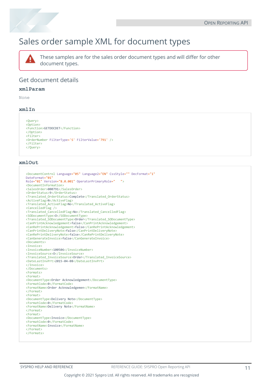### Sales order sample XML for document types



These samples are for the sales order document types and will differ for other document types.

#### Get document details

#### **xmlParam**

None

#### **xmlIn**

```
<Query>
```

```
<Option>
<Function>GETDOCDET</Function>
</Option>
<Filter>
<OrderNumber FilterType='S' FilterValue='791' />
</Filter>
</Query>
```
#### **xmlOut**

```
<DocumentControl Language="05" Language2="EN" CssStyle="" DecFormat="1"
DateFormat="01"
Role="01" Version="8.0.001" OperatorPrimaryRole=" ">
<DocumentInformation>
<SalesOrder>000791</SalesOrder>
<OrderStatus>9</OrderStatus>
<Translated_OrderStatus>Complete</Translated_OrderStatus>
<ActiveFlag>N</ActiveFlag>
<Translated_ActiveFlag>No</Translated_ActiveFlag>
<CancelledFlag />
<Translated_CancelledFlag>No</Translated_CancelledFlag>
<SODocumentType>O</SODocumentType>
<Translated_SODocumentType>Order</Translated_SODocumentType>
<CanPrintAcknowledgement>false</CanPrintAcknowledgement>
<CanRePrintAcknowledgement>false</CanRePrintAcknowledgement>
<CanPrintDeliveryNote>false</CanPrintDeliveryNote>
<CanRePrintDeliveryNote>false</CanRePrintDeliveryNote>
<CanGenerateInvoice>false</CanGenerateInvoice>
<Documents>
<Invoice>
<InvoiceNumber>100506</InvoiceNumber>
<InvoiceSource>O</InvoiceSource>
<Translated_InvoiceSource>Order</Translated_InvoiceSource>
<DateLastInvPrt>2015-04-08</DateLastInvPrt>
</Invoice>
</Documents>
<Formats>
<Format>
<DocumentType>Order Acknowledgement</DocumentType>
<FormatCode>0</FormatCode>
<FormatName>Order Acknowledgemen</FormatName>
</Format>
<Format>
<DocumentType>Delivery Note</DocumentType>
<FormatCode>0</FormatCode>
<FormatName>Delivery Note</FormatName>
</Format>
<Format>
<DocumentType>Invoice</DocumentType>
<FormatCode>0</FormatCode>
<FormatName>Invoice</FormatName>
</Format>
</Formats>
```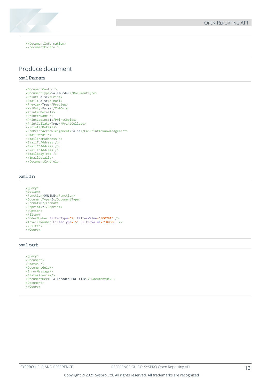

</DocumentInformation> </DocumentControl>

#### Produce document

#### **xmlParam**

```
<DocumentControl>
<DocumentType>SalesOrder</DocumentType>
<Print>False</Print>
<Email>False</Email>
<Preview>True</Preview>
<XmlOnly>False</XmlOnly>
<PrinterDetails>
<PrinterName />
<PrintCopies>1</PrintCopies>
<PrintCollate>True</PrintCollate>
</PrinterDetails>
<CanPrintAcknowledgement>false</CanPrintAcknowledgement>
<EmailDetails>
<EmailFromAddress />
<EmailToAddress />
<EmailCCAddress />
<EmailToAddress />
<EmailBodyText />
</EmailDetails>
</DocumentControl>
```
#### **xmlIn**

```
<Query>
<Option>
<Function>ONLINE</Function>
<DocumentType>I</DocumentType>
<Format>0</Format>
<Reprint>Y</Reprint>
</Option>
<Filter>
<OrderNumber FilterType='S' FilterValue='000791' />
<InvoiceNumber FilterType='S' FilterValue='100506' />
</Filter>
\langle/0uery>
```
#### **xmlout**

```
<Query>
<Document>
<Status />
<DocumentGuid/>
<ErrorMessage/>
<StatusPreview/>
<DocumentHex>HEX Encoded PDF file</ DocumentHex >
<Document>
</Query>
```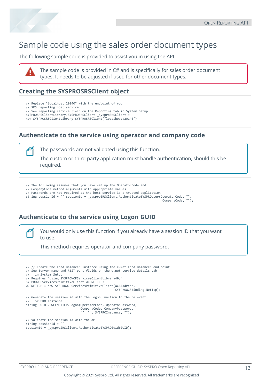

### Sample code using the sales order document types

The following sample code is provided to assist you in using the API.



The sample code is provided in C# and is specifically for sales order document types. It needs to be adjusted if used for other document types.

#### **Creating the SYSPROSRSClient object**

// Replace "localhost:20140" with the endpoint of your // SRS reporting host service // See Reporting service field on the Reporting tab in System Setup SYSPROSRSClientLibrary.SYSPROSRSClient sysproSRSClient new SYSPROSRSClientLibrary.SYSPROSRSClient("localhost:20140")

#### **Authenticate to the service using operator and company code**

The passwords are not validated using this function.

The custom or third party application must handle authentication, should this be required.

// The following assumes that you have set up the OperatorCode and // CompanyCode method arguments with appropriate values. // Passwords are not required as the host service is a trusted application string sessionId = "";sessionId = \_sysproSRSClient.AuthenticateSYSPROUser(OperatorCode, "", CompanyCode, "");

#### **Authenticate to the service using Logon GUID**

You would only use this function if you already have a session ID that you want to use.

This method requires operator and company password.

```
// // Create the Load Balancer instance using the e.Net Load Balancer end point 
// See Server name and REST port fields on the e.net service details tab<br>// in System Setup
    in System Setup
// Requires "using SYSPROWCFServicesClientLibrary40;" 
SYSPROWCFServicesPrimitiveClient WCFNETTCP; 
WCFNETTCP = new SYSPROWCFServicesPrimitiveClient(WCFAddress,
                                                  SYSPROWCFBinding.NetTcp);
// Generate the session id with the Logon function to the relevant 
// SYSPRO instance 
string GUID = WCFNETTCP.Logon(OperatorCode, OperatorPassword, 
 CompanyCode, CompanyPassword,
                                   ", SYSPROInstance, "");
// Validate the session id with the API 
string sessionId = "sessionId = _sysproSRSClient.AuthenticateSYSPROGuid(GUID);
```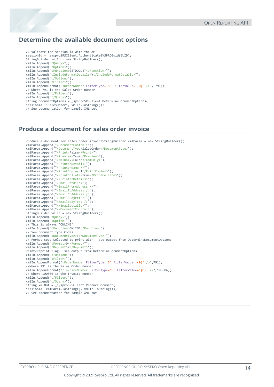#### **Determine the available document options**

```
// Validate the session id with the API 
sessionId = _sysproSRSClient.AuthenticateSYSPROGuid(GUID); 
StringBuilder xmlIn = new StringBuilder();
xmlIn.Append("<Query>"); 
xmlIn.Append("<Option>"); 
xmlIn.Append("<Function>GETDOCDET</Function>"); 
xmlIn.Append("<IncludeFormatDetails>Y</IncludeFormatDetails>"); 
xmlIn.Append("</Option>"); 
xmlIn.Append("<Filter>"); 
xmlIn.AppendFormat("<OrderNumber FilterType='S' FilterValue='{0}' />", 791); 
// Where 791 is the Sales Order number 
xmlIn.Append("</Filter>"); 
xmlIn.Append("</Query>"); 
string documentOptions = _sysproSRSClient.DetermineDocumentOptions( 
sessionId, "SalesOrder", xmlIn.ToString()); 
// See documentation for sample XML out
```
#### **Produce a document for sales order invoice**

```
Produce a document for sales order invoiceStringBuilder xmlParam = new StringBuilder();
xmlParam.Append("<DocumentControl>");
xmlParam.Append("<DocumentType>SalesOrder</DocumentType>");
xmlParam.Append("<Print>False</Print>");
xmlParam.Append("<Preview>True</Preview>");
xmlParam.Append("<XmlOnly>False</XmlOnly>");
xmlParam.Append("<PrinterDetails>");
xmlParam.Append("<PrinterName />");
xmlParam.Append("<PrintCopies>1</PrintCopies>");
xmlParam.Append("<PrintCollate>True</PrintCollate>");
xmlParam.Append("</PrinterDetails>");
xmlParam.Append("<EmailDetails>");
xmlParam.Append("<EmailFromAddress />");
xmlParam.Append("<EmailToAddress />");
xmlParam.Append("<EmailCcAddress />");
xmlParam.Append("<EmailSubject />");
xmlParam.Append("<EmailBodyText />");
xmlParam.Append("</EmailDetails>");
xmlParam.Append("</DocumentControl>");
StringBuilder xmlIn = new StringBuilder();
xmlIn.Append("<Query>");
xmlIn.Append("<Option>");
// This is always 'ONLINE'
xmlIn.Append("<Function>ONLINE</Function>");
// See Document Type Codes
xmlIn.Append("<DocumentType>I</DocumentType>");
// Format code selected to print with - see output from DetermineDocumentOptions
xmlIn.Append("<Format>0</Format>");
xmlIn.Append("<Reprint>Y</Reprint>"); 
Print/Reprint flag - see output from DetermineDocumentOptions
xmlIn.Append("</Option>");
xmlIn.Append("<Filter>");
xmlIn.AppendFormat("<OrderNumber FilterType='S' FilterValue='{0}' />",791);
//Where 791 is the Sales Order number
xmlIn.AppendFormat("<InvoiceNumber FilterType='S' FilterValue='{0}' />",100506);
// Where 100506 is the Invoice number
xmlIn.Append("</Filter>");
xmlIn.Append("</Query>");
string xmlOut = _sysproSRSClient.ProduceDocument(
sessionId, xmlParam.ToString(), xmlIn.ToString());
// See documentation for sample XML out
```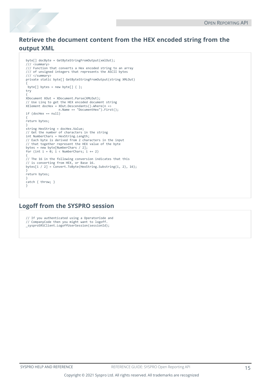#### **Retrieve the document content from the HEX encoded string from the output XML**

```
byte[] docByte = GetByteStringFromOutput(xmlOut); 
/// <summary> 
/// Function that converts a Hex encoded string to an array 
/// of unsigned integers that represents the ASCII bytes 
/// </summary> 
private static byte[] GetByteStringFromOutput(string XMLOut)
{ 
 byte[] bytes = new byte[] \{ \};
try 
{ 
XDocument XOut = XDocument.Parse(XMLOut); 
// Use Linq to get the HEX encoded document string 
XElement docHex = XOut.Descendants() . Where(n => n.Name == "DocumentHex").First(); 
if (docHex == null)
{ 
return bytes; 
} 
string HexString = docHex.Value; 
// Get the number of characters in the string 
int NumberChars = HexString.Length; 
// Each byte is derived from 2 characters in the input 
// that together represent the HEX value of the byte 
bytes = new byte[NumberChars / 2]; 
for (int i = 0; i < NumberChars; i += 2)
{ 
// The 16 in the following conversion indicates that this 
// is converting from HEX, or Base 16. 
bytes[i / 2] = Convert.ToByte(HexString.Substring(i, 2), 16); 
}
return bytes;
}
catch { throw; } 
}
```
#### **Logoff from the SYSPRO session**

// If you authenticated using a OperatorCode and // CompanyCode then you might want to logoff. \_sysproSRSClient.LogoffUserSession(sessionId);